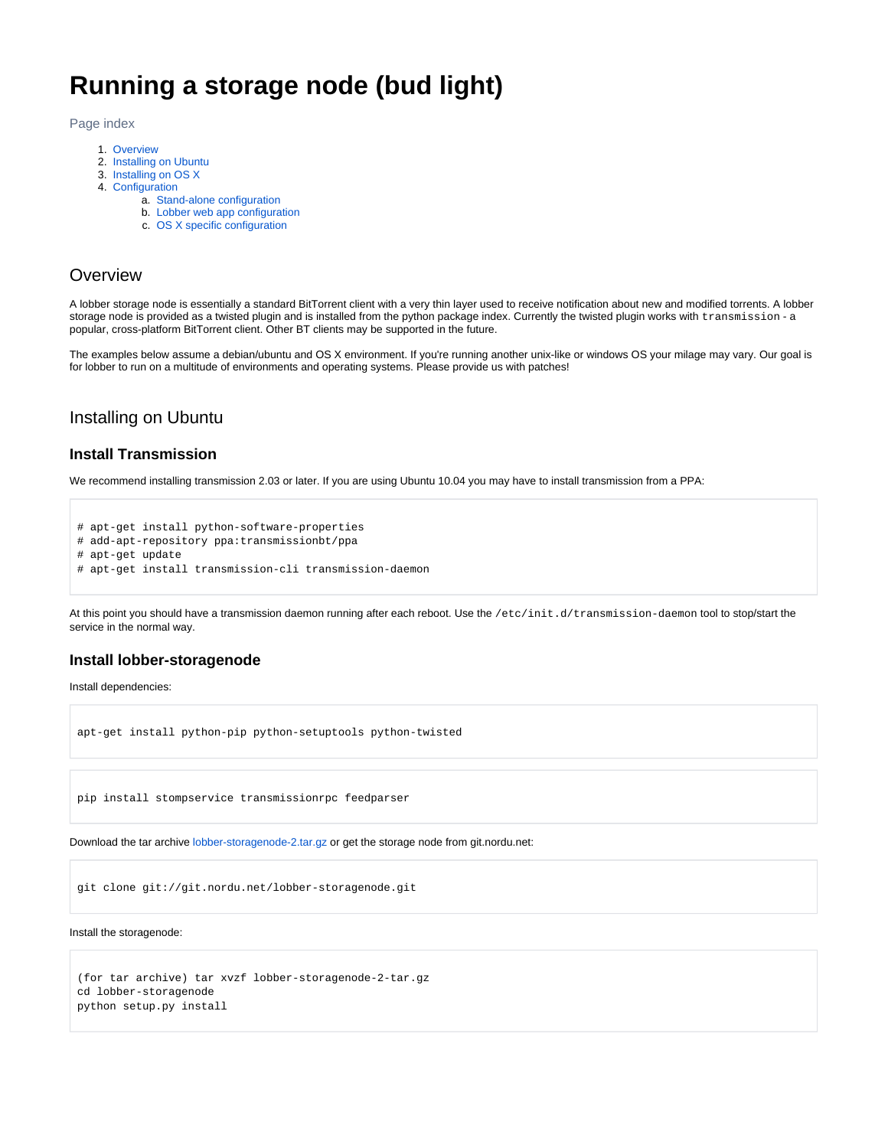# **Running a storage node (bud light)**

Page index

- 1. [Overview](#page-0-0)
- 2. [Installing on Ubuntu](#page-0-1)
- 3. [Installing on OS X](#page-0-2)
- 4. [Configuration](#page-1-0)
	- a. [Stand-alone configuration](#page-2-0)
	- b. [Lobber web app configuration](#page-3-0)
	- c. [OS X specific configuration](#page-3-1)

## <span id="page-0-0"></span>**Overview**

A lobber storage node is essentially a standard BitTorrent client with a very thin layer used to receive notification about new and modified torrents. A lobber storage node is provided as a twisted plugin and is installed from the python package index. Currently the twisted plugin works with transmission - a popular, cross-platform BitTorrent client. Other BT clients may be supported in the future.

The examples below assume a debian/ubuntu and OS X environment. If you're running another unix-like or windows OS your milage may vary. Our goal is for lobber to run on a multitude of environments and operating systems. Please provide us with patches!

## <span id="page-0-1"></span>Installing on Ubuntu

## **Install Transmission**

We recommend installing transmission 2.03 or later. If you are using Ubuntu 10.04 you may have to install transmission from a PPA:

# apt-get install python-software-properties

- # add-apt-repository ppa:transmissionbt/ppa
- # apt-get update
- # apt-get install transmission-cli transmission-daemon

At this point you should have a transmission daemon running after each reboot. Use the /etc/init.d/transmission-daemon tool to stop/start the service in the normal way.

## **Install lobber-storagenode**

Install dependencies:

```
apt-get install python-pip python-setuptools python-twisted
```
pip install stompservice transmissionrpc feedparser

Download the tar archive [lobber-storagenode-2.tar.gz](https://portal.nordu.net/download/attachments/25854506/lobber-storagenode-2.tar.gz?version=1&modificationDate=1309367847000&api=v2) or get the storage node from git.nordu.net:

```
git clone git://git.nordu.net/lobber-storagenode.git
```
#### Install the storagenode:

```
(for tar archive) tar xvzf lobber-storagenode-2-tar.gz
cd lobber-storagenode
python setup.py install
```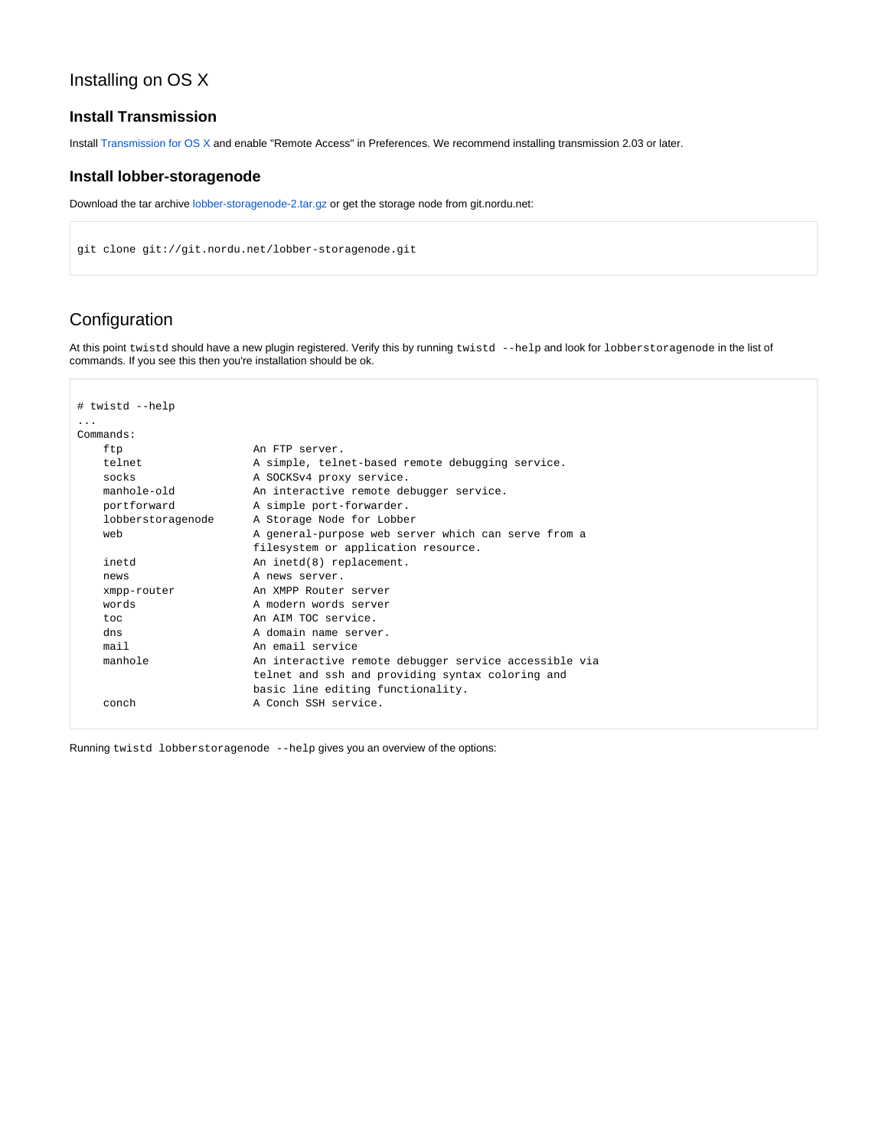## Installing on OS X

## **Install Transmission**

Install [Transmission for OS X](http://www.transmissionbt.com/) and enable "Remote Access" in Preferences. We recommend installing transmission 2.03 or later.

### **Install lobber-storagenode**

Download the tar archive [lobber-storagenode-2.tar.gz](https://portal.nordu.net/download/attachments/25854506/lobber-storagenode-2.tar.gz?version=1&modificationDate=1309367847000&api=v2) or get the storage node from git.nordu.net:

```
git clone git://git.nordu.net/lobber-storagenode.git
```
## <span id="page-1-0"></span>Configuration

At this point twistd should have a new plugin registered. Verify this by running twistd --help and look for lobberstoragenode in the list of commands. If you see this then you're installation should be ok.

| # twistd --help         |                                                       |
|-------------------------|-------------------------------------------------------|
| $\cdot$ $\cdot$ $\cdot$ |                                                       |
| Commands:               |                                                       |
| ftp                     | An FTP server.                                        |
| telnet                  | A simple, telnet-based remote debugging service.      |
| socks                   | A SOCKSv4 proxy service.                              |
| manhole-old             | An interactive remote debugger service.               |
| portforward             | A simple port-forwarder.                              |
| lobberstoragenode       | A Storage Node for Lobber                             |
| web                     | A general-purpose web server which can serve from a   |
|                         | filesystem or application resource.                   |
| inetd                   | An inetd(8) replacement.                              |
| news                    | A news server.                                        |
| xmpp-router             | An XMPP Router server                                 |
| words                   | A modern words server                                 |
| t.oc                    | An AIM TOC service.                                   |
| dns                     | A domain name server.                                 |
| mail                    | An email service                                      |
| manhole                 | An interactive remote debugger service accessible via |
|                         | telnet and ssh and providing syntax coloring and      |
|                         | basic line editing functionality.                     |
| conch                   | A Conch SSH service.                                  |

Running twistd lobberstoragenode --help gives you an overview of the options: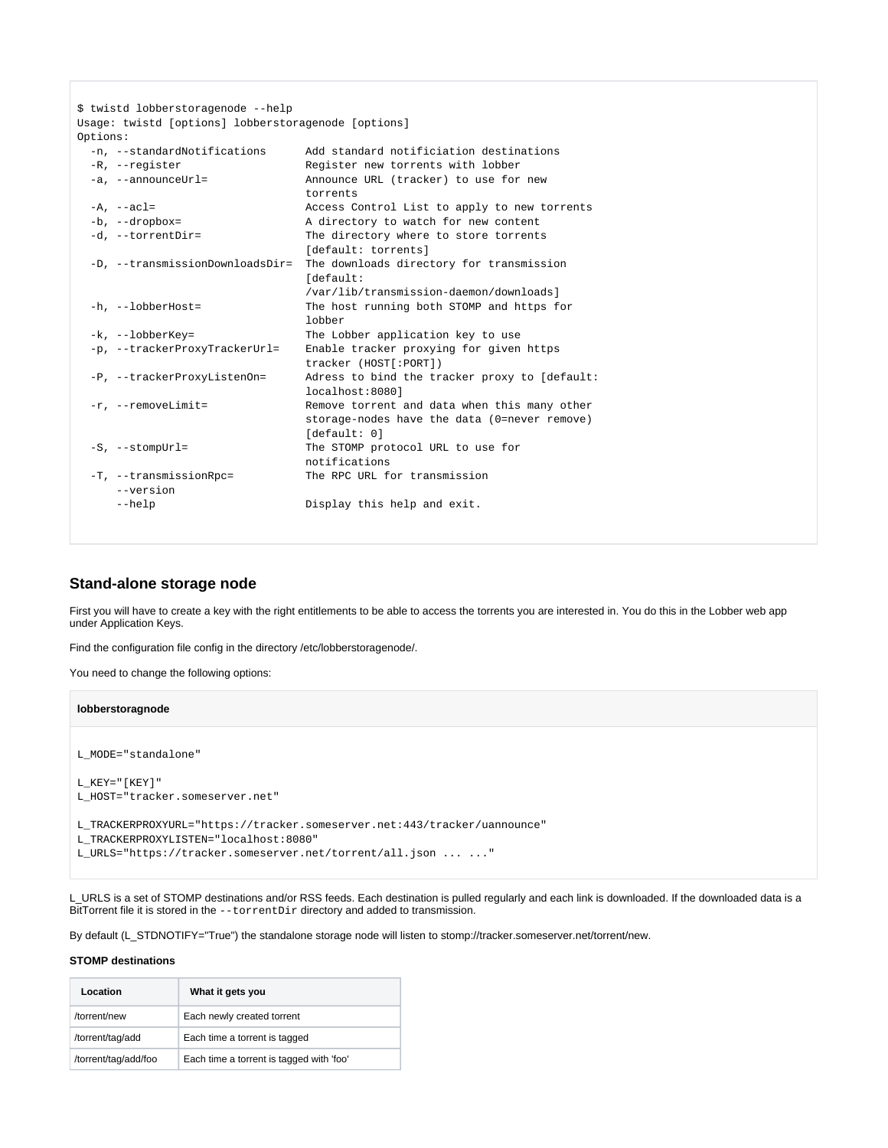|          | \$ twistd lobberstoragenode --help                  |                                               |
|----------|-----------------------------------------------------|-----------------------------------------------|
|          | Usage: twistd [options] lobberstoragenode [options] |                                               |
| Options: |                                                     |                                               |
|          | -n, --standardNotifications                         | Add standard notificiation destinations       |
|          | -R, --register                                      | Register new torrents with lobber             |
|          | -a, --announceUrl=                                  | Announce URL (tracker) to use for new         |
|          |                                                     | torrents                                      |
|          | $-A$ , $--acl=$                                     | Access Control List to apply to new torrents  |
|          | -b, --dropbox=                                      | A directory to watch for new content          |
|          | -d, --torrentDir=                                   | The directory where to store torrents         |
|          |                                                     | [default: torrents]                           |
|          | -D, --transmissionDownloadsDir=                     | The downloads directory for transmission      |
|          |                                                     | [default:                                     |
|          |                                                     | /var/lib/transmission-daemon/downloads]       |
|          | $-h$ , $-$ -lobberHost=                             | The host running both STOMP and https for     |
|          |                                                     | lobber                                        |
|          | -k, --lobberKey=                                    | The Lobber application key to use             |
|          | -p, --trackerProxyTrackerUrl=                       | Enable tracker proxying for given https       |
|          |                                                     | tracker (HOST[:PORT])                         |
|          | -P, --trackerProxyListenOn=                         | Adress to bind the tracker proxy to [default: |
|          |                                                     | localhost:80801                               |
|          | $-r$ , $-r$ emoveLimit=                             | Remove torrent and data when this many other  |
|          |                                                     | storage-nodes have the data (0=never remove)  |
|          |                                                     | [default: 0]                                  |
|          | $-S$ , $-$ stompUrl=                                | The STOMP protocol URL to use for             |
|          |                                                     | notifications                                 |
|          | -T, --transmissionRpc=                              | The RPC URL for transmission                  |
|          | --version                                           |                                               |
|          | $-\text{help}$                                      | Display this help and exit.                   |
|          |                                                     |                                               |

## <span id="page-2-0"></span>**Stand-alone storage node**

First you will have to create a key with the right entitlements to be able to access the torrents you are interested in. You do this in the Lobber web app under Application Keys.

Find the configuration file config in the directory /etc/lobberstoragenode/.

You need to change the following options:

```
lobberstoragnode
L_MODE="standalone"
L_K EY = " [ K EY ] "L_HOST="tracker.someserver.net"
L_TRACKERPROXYURL="https://tracker.someserver.net:443/tracker/uannounce"
L_TRACKERPROXYLISTEN="localhost:8080"
L_URLS="https://tracker.someserver.net/torrent/all.json ... ..."
```
L\_URLS is a set of STOMP destinations and/or RSS feeds. Each destination is pulled regularly and each link is downloaded. If the downloaded data is a BitTorrent file it is stored in the --torrentDir directory and added to transmission.

By default (L\_STDNOTIFY="True") the standalone storage node will listen to stomp://tracker.someserver.net/torrent/new.

### **STOMP destinations**

| Location             | What it gets you                         |
|----------------------|------------------------------------------|
| /torrent/new         | Each newly created torrent               |
| /torrent/tag/add     | Each time a torrent is tagged            |
| /torrent/tag/add/foo | Each time a torrent is tagged with 'foo' |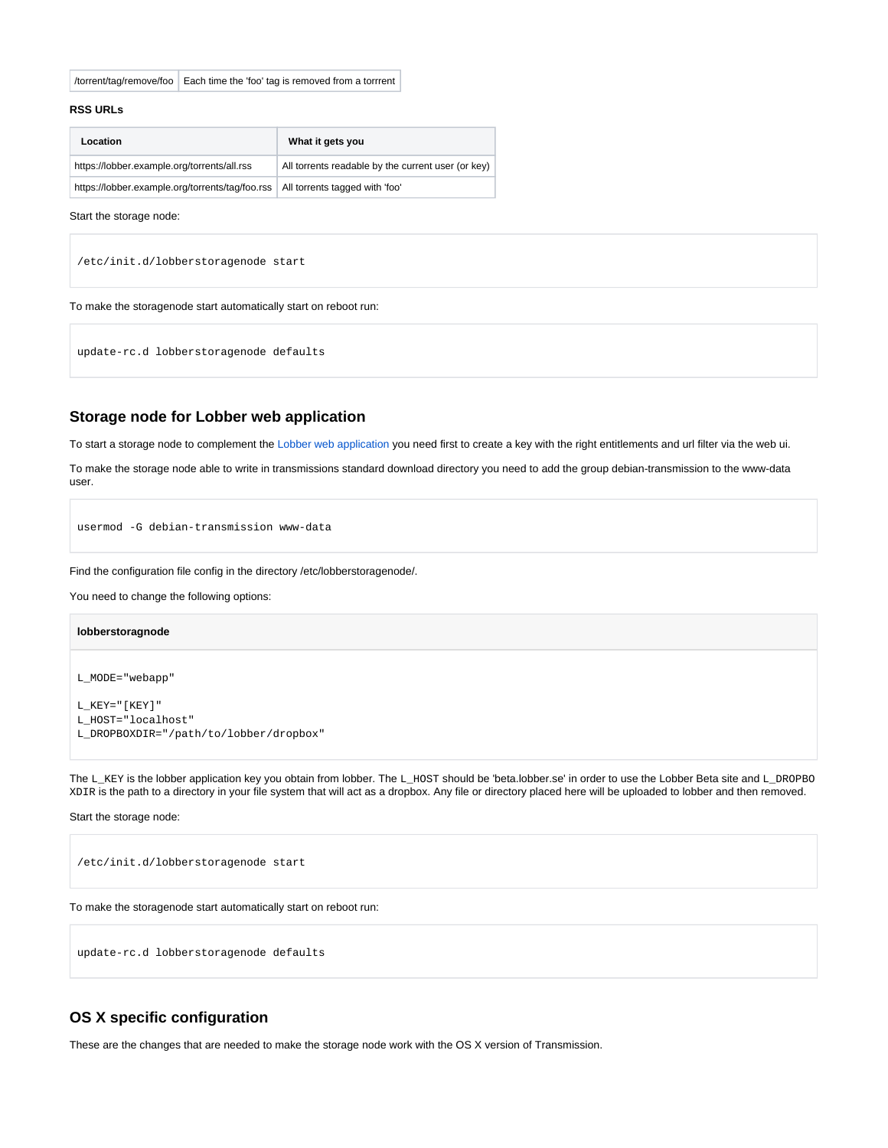/torrent/tag/remove/foo | Each time the 'foo' tag is removed from a torrrent

### **RSS URLs**

| Location                                                                         | What it gets you                                   |
|----------------------------------------------------------------------------------|----------------------------------------------------|
| https://lobber.example.org/torrents/all.rss                                      | All torrents readable by the current user (or key) |
| https://lobber.example.org/torrents/tag/foo.rss   All torrents tagged with 'foo' |                                                    |

Start the storage node:

/etc/init.d/lobberstoragenode start

To make the storagenode start automatically start on reboot run:

update-rc.d lobberstoragenode defaults

### <span id="page-3-0"></span>**Storage node for Lobber web application**

To start a storage node to complement the [Lobber web application](https://portal.nordu.net/pages/viewpage.action?pageId=25854255) you need first to create a key with the right entitlements and url filter via the web ui.

To make the storage node able to write in transmissions standard download directory you need to add the group debian-transmission to the www-data user.

usermod -G debian-transmission www-data

#### Find the configuration file config in the directory /etc/lobberstoragenode/.

You need to change the following options:

## **lobberstoragnode**

L\_MODE="webapp"

 ${\tt L\_KEY}$  " [  ${\tt KEY}$  ] " L\_HOST="localhost"

L\_DROPBOXDIR="/path/to/lobber/dropbox"

The L\_KEY is the lobber application key you obtain from lobber. The L\_HOST should be 'beta.lobber.se' in order to use the Lobber Beta site and L\_DROPBO XDIR is the path to a directory in your file system that will act as a dropbox. Any file or directory placed here will be uploaded to lobber and then removed.

Start the storage node:

```
/etc/init.d/lobberstoragenode start
```
To make the storagenode start automatically start on reboot run:

update-rc.d lobberstoragenode defaults

### <span id="page-3-1"></span>**OS X specific configuration**

These are the changes that are needed to make the storage node work with the OS X version of Transmission.